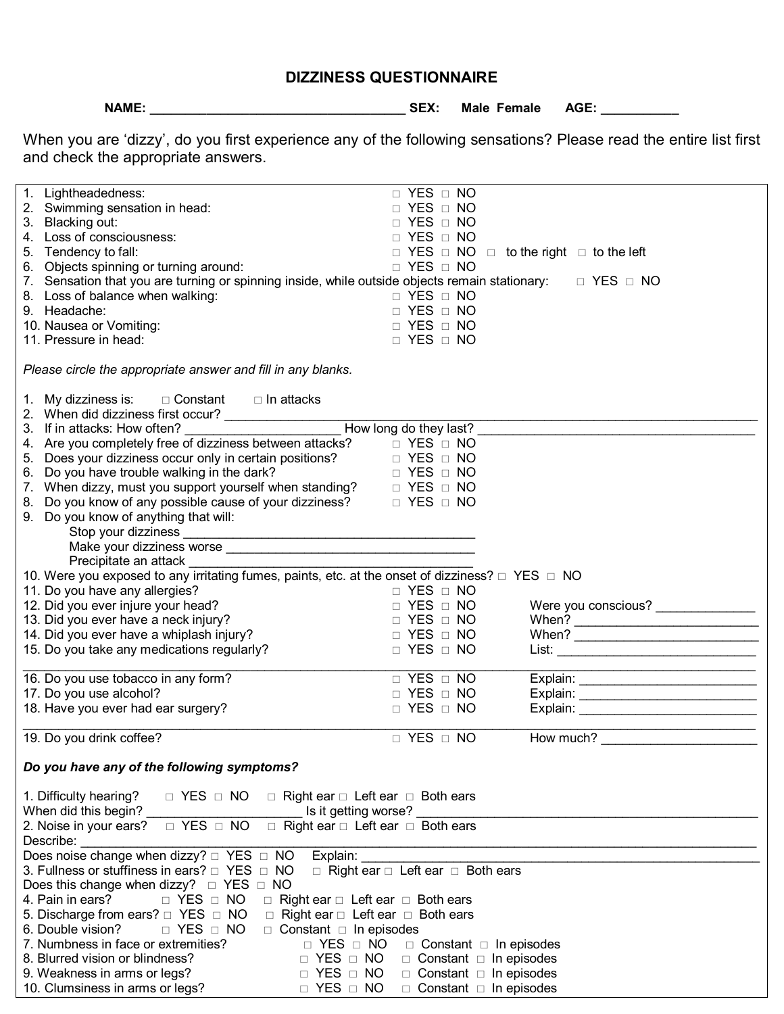|  | <b>DIZZINESS QUESTIONNAIRE</b> |
|--|--------------------------------|
|--|--------------------------------|

**NAME: \_\_\_\_\_\_\_\_\_\_\_\_\_\_\_\_\_\_\_\_\_\_\_\_\_\_\_\_\_\_\_\_\_\_\_\_ SEX: Male Female AGE: \_\_\_\_\_\_\_\_\_\_\_** 

When you are 'dizzy', do you first experience any of the following sensations? Please read the entire list first and check the appropriate answers.

| 1. Lightheadedness:                                                                                                                                                                                         | $\Box$ YES $\Box$ NO                                        |                                    |  |  |  |  |
|-------------------------------------------------------------------------------------------------------------------------------------------------------------------------------------------------------------|-------------------------------------------------------------|------------------------------------|--|--|--|--|
| 2. Swimming sensation in head:                                                                                                                                                                              | □ YES □ NO                                                  |                                    |  |  |  |  |
| 3. Blacking out:                                                                                                                                                                                            | $\Box$ YES $\Box$ NO                                        |                                    |  |  |  |  |
| 4. Loss of consciousness:                                                                                                                                                                                   | $\Box$ YES $\Box$ NO                                        |                                    |  |  |  |  |
| 5. Tendency to fall:                                                                                                                                                                                        | $\Box$ YES $\Box$ NO $\Box$ to the right $\Box$ to the left |                                    |  |  |  |  |
| 6. Objects spinning or turning around:                                                                                                                                                                      | $\Box$ YES $\Box$ NO                                        |                                    |  |  |  |  |
| 7. Sensation that you are turning or spinning inside, while outside objects remain stationary: $\square$ YES $\square$ NO                                                                                   |                                                             |                                    |  |  |  |  |
| 8. Loss of balance when walking:                                                                                                                                                                            | $\Box$ YES $\Box$ NO                                        |                                    |  |  |  |  |
| 9. Headache:                                                                                                                                                                                                | $YES \square NO$                                            |                                    |  |  |  |  |
| 10. Nausea or Vomiting:                                                                                                                                                                                     | $YES \square NO$                                            |                                    |  |  |  |  |
| 11. Pressure in head:                                                                                                                                                                                       | $\Box$ YES $\Box$ NO                                        |                                    |  |  |  |  |
| Please circle the appropriate answer and fill in any blanks.                                                                                                                                                |                                                             |                                    |  |  |  |  |
| 1. My dizziness is: $\square$ Constant $\square$ In attacks                                                                                                                                                 |                                                             |                                    |  |  |  |  |
| 2. When did dizziness first occur?<br>3. If in attacks: How often?<br>4. Are you completely free of dizziness between attacks? $□$ YES $□$ NO                                                               |                                                             |                                    |  |  |  |  |
|                                                                                                                                                                                                             |                                                             |                                    |  |  |  |  |
|                                                                                                                                                                                                             |                                                             |                                    |  |  |  |  |
| 5. Does your dizziness occur only in certain positions? $\Box$ YES $\Box$ NO                                                                                                                                |                                                             |                                    |  |  |  |  |
| 6. Do you have trouble walking in the dark?<br>7. When dizzy, must you support yourself when standing? $\Box$ YES $\Box$ NO<br>8. Do you know of any possible cause of your dizziness? $\Box$ YES $\Box$ NO |                                                             |                                    |  |  |  |  |
|                                                                                                                                                                                                             |                                                             |                                    |  |  |  |  |
|                                                                                                                                                                                                             |                                                             |                                    |  |  |  |  |
| 9. Do you know of anything that will:                                                                                                                                                                       |                                                             |                                    |  |  |  |  |
|                                                                                                                                                                                                             |                                                             |                                    |  |  |  |  |
|                                                                                                                                                                                                             |                                                             |                                    |  |  |  |  |
| Precipitate an attack _                                                                                                                                                                                     |                                                             |                                    |  |  |  |  |
| 10. Were you exposed to any irritating fumes, paints, etc. at the onset of dizziness? $\Box$ YES $\Box$ NO                                                                                                  |                                                             |                                    |  |  |  |  |
| 11. Do you have any allergies?                                                                                                                                                                              | $\Box$ YES $\Box$ NO                                        |                                    |  |  |  |  |
| 12. Did you ever injure your head?                                                                                                                                                                          | $\Box$ YES $\Box$ NO                                        | Were you conscious? ______________ |  |  |  |  |
| 13. Did you ever have a neck injury?                                                                                                                                                                        | $\Box$ YES $\Box$ NO                                        |                                    |  |  |  |  |
| 14. Did you ever have a whiplash injury?                                                                                                                                                                    | $\Box$ YES $\Box$ NO                                        |                                    |  |  |  |  |
| 15. Do you take any medications regularly?                                                                                                                                                                  | $\Box$ YES $\Box$ NO                                        |                                    |  |  |  |  |
|                                                                                                                                                                                                             |                                                             |                                    |  |  |  |  |
| 16. Do you use tobacco in any form?                                                                                                                                                                         | $\Box$ YES $\Box$ NO                                        |                                    |  |  |  |  |
| 17. Do you use alcohol?                                                                                                                                                                                     | YES □ NO                                                    |                                    |  |  |  |  |
| 18. Have you ever had ear surgery?                                                                                                                                                                          | $\Box$ YES $\Box$ NO                                        |                                    |  |  |  |  |
| 19. Do you drink coffee?                                                                                                                                                                                    | $\Box$ YES $\Box$ NO                                        | How much?                          |  |  |  |  |
| Do you have any of the following symptoms?                                                                                                                                                                  |                                                             |                                    |  |  |  |  |
|                                                                                                                                                                                                             |                                                             |                                    |  |  |  |  |
| $\Box$ YES $\Box$ NO<br>1. Difficulty hearing?<br>$\Box$ Right ear $\Box$ Left ear $\Box$ Both ears                                                                                                         |                                                             |                                    |  |  |  |  |
| When did this begin?<br>Is it getting worse?                                                                                                                                                                |                                                             |                                    |  |  |  |  |
| 2. Noise in your ears?<br>$\Box$ Right ear $\Box$ Left ear $\Box$ Both ears<br>$\Box$ YES $\Box$ NO                                                                                                         |                                                             |                                    |  |  |  |  |
| Describe:                                                                                                                                                                                                   |                                                             |                                    |  |  |  |  |
| Does noise change when dizzy? THES TIMO<br>Explain:                                                                                                                                                         |                                                             |                                    |  |  |  |  |
| $\Box$ Right ear $\Box$ Left ear $\Box$ Both ears<br>3. Fullness or stuffiness in ears? $\Box$ YES $\Box$ NO                                                                                                |                                                             |                                    |  |  |  |  |
| Does this change when dizzy? $\Box$ YES $\Box$ NO                                                                                                                                                           |                                                             |                                    |  |  |  |  |
| $\Box$ YES $\Box$ NO<br>4. Pain in ears?<br>$\Box$ Right ear $\Box$ Left ear $\Box$ Both ears                                                                                                               |                                                             |                                    |  |  |  |  |
| $\Box$ Right ear $\Box$ Left ear $\Box$ Both ears<br>5. Discharge from ears? $\Box$ YES $\Box$ NO                                                                                                           |                                                             |                                    |  |  |  |  |
| 6. Double vision?<br>$\Box$ YES $\Box$ NO<br>$\Box$ Constant $\Box$ In episodes                                                                                                                             |                                                             |                                    |  |  |  |  |
| 7. Numbness in face or extremities?<br>$\Box$ YES $\Box$ NO<br>$\Box$ Constant $\Box$ In episodes                                                                                                           |                                                             |                                    |  |  |  |  |
| 8. Blurred vision or blindness?<br>$\Box$ YES $\Box$ NO<br>$\Box$ Constant $\Box$ In episodes                                                                                                               |                                                             |                                    |  |  |  |  |
| $\Box$ YES $\Box$ NO<br>$\Box$ Constant $\Box$ In episodes<br>9. Weakness in arms or legs?                                                                                                                  |                                                             |                                    |  |  |  |  |
| 10. Clumsiness in arms or legs?<br>$\Box$ YES $\Box$ NO                                                                                                                                                     |                                                             |                                    |  |  |  |  |